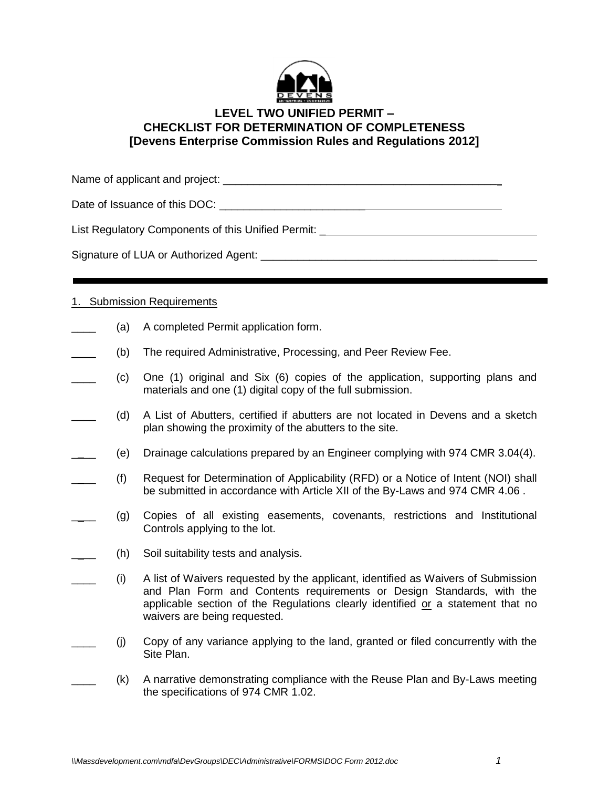

## **LEVEL TWO UNIFIED PERMIT – CHECKLIST FOR DETERMINATION OF COMPLETENESS [Devens Enterprise Commission Rules and Regulations 2012]**

Name of applicant and project: \_\_\_\_\_\_\_\_\_\_\_\_\_\_\_\_\_\_\_\_\_\_\_\_\_\_\_\_\_\_\_\_\_\_\_\_\_\_\_\_\_\_\_\_\_

Date of Issuance of this DOC:  $\Box$ 

List Regulatory Components of this Unified Permit: \_\_\_\_\_\_\_\_\_\_\_\_\_\_\_\_\_\_\_\_\_\_\_\_\_\_\_\_\_

Signature of LUA or Authorized Agent: \_\_\_\_\_\_\_\_\_\_\_\_\_\_\_\_\_\_\_\_\_\_\_\_\_\_\_\_\_\_\_\_\_\_\_\_\_\_\_

## 1. Submission Requirements

- (a) A completed Permit application form.
- (b) The required Administrative, Processing, and Peer Review Fee.
- \_\_\_\_ (c) One (1) original and Six (6) copies of the application, supporting plans and materials and one (1) digital copy of the full submission.
- \_\_\_\_ (d) A List of Abutters, certified if abutters are not located in Devens and a sketch plan showing the proximity of the abutters to the site.
- \_\_\_\_ (e) Drainage calculations prepared by an Engineer complying with 974 CMR 3.04(4).
- (f) Request for Determination of Applicability (RFD) or a Notice of Intent (NOI) shall be submitted in accordance with Article XII of the By-Laws and 974 CMR 4.06 .
- \_\_\_\_ (g) Copies of all existing easements, covenants, restrictions and Institutional Controls applying to the lot.
	- (h) Soil suitability tests and analysis.
- \_\_\_\_ (i) A list of Waivers requested by the applicant, identified as Waivers of Submission and Plan Form and Contents requirements or Design Standards, with the applicable section of the Regulations clearly identified or a statement that no waivers are being requested.
- \_\_\_\_ (j) Copy of any variance applying to the land, granted or filed concurrently with the Site Plan.
	- \_\_\_\_ (k) A narrative demonstrating compliance with the Reuse Plan and By-Laws meeting the specifications of 974 CMR 1.02.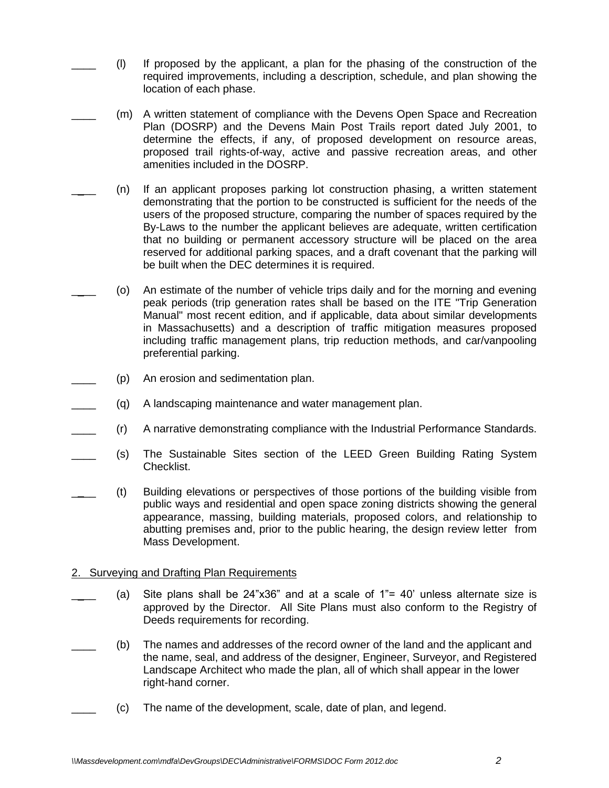- \_\_\_\_ (l) If proposed by the applicant, a plan for the phasing of the construction of the required improvements, including a description, schedule, and plan showing the location of each phase.
- (m) A written statement of compliance with the Devens Open Space and Recreation Plan (DOSRP) and the Devens Main Post Trails report dated July 2001, to determine the effects, if any, of proposed development on resource areas, proposed trail rights-of-way, active and passive recreation areas, and other amenities included in the DOSRP.
	- \_\_\_\_ (n) If an applicant proposes parking lot construction phasing, a written statement demonstrating that the portion to be constructed is sufficient for the needs of the users of the proposed structure, comparing the number of spaces required by the By-Laws to the number the applicant believes are adequate, written certification that no building or permanent accessory structure will be placed on the area reserved for additional parking spaces, and a draft covenant that the parking will be built when the DEC determines it is required.
	- (o) An estimate of the number of vehicle trips daily and for the morning and evening peak periods (trip generation rates shall be based on the ITE "Trip Generation Manual" most recent edition, and if applicable, data about similar developments in Massachusetts) and a description of traffic mitigation measures proposed including traffic management plans, trip reduction methods, and car/vanpooling preferential parking.
- (p) An erosion and sedimentation plan.
- \_\_\_\_ (q) A landscaping maintenance and water management plan.
- \_\_\_\_ (r) A narrative demonstrating compliance with the Industrial Performance Standards.
- (s) The Sustainable Sites section of the LEED Green Building Rating System Checklist.
- \_\_\_\_ (t) Building elevations or perspectives of those portions of the building visible from public ways and residential and open space zoning districts showing the general appearance, massing, building materials, proposed colors, and relationship to abutting premises and, prior to the public hearing, the design review letter from Mass Development.

## 2. Surveying and Drafting Plan Requirements

- (a) Site plans shall be  $24"x36"$  and at a scale of  $1"= 40'$  unless alternate size is approved by the Director. All Site Plans must also conform to the Registry of Deeds requirements for recording.
- (b) The names and addresses of the record owner of the land and the applicant and the name, seal, and address of the designer, Engineer, Surveyor, and Registered Landscape Architect who made the plan, all of which shall appear in the lower right-hand corner.
- \_\_\_\_ (c) The name of the development, scale, date of plan, and legend.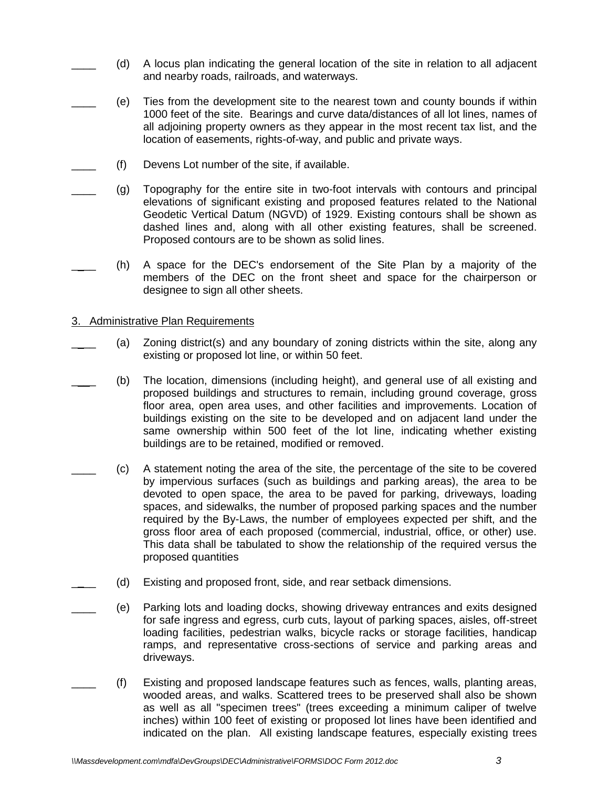- \_\_\_\_ (d) A locus plan indicating the general location of the site in relation to all adjacent and nearby roads, railroads, and waterways.
- \_\_\_\_ (e) Ties from the development site to the nearest town and county bounds if within 1000 feet of the site. Bearings and curve data/distances of all lot lines, names of all adjoining property owners as they appear in the most recent tax list, and the location of easements, rights-of-way, and public and private ways.
- (f) Devens Lot number of the site, if available.
	- \_\_\_\_ (g) Topography for the entire site in two-foot intervals with contours and principal elevations of significant existing and proposed features related to the National Geodetic Vertical Datum (NGVD) of 1929. Existing contours shall be shown as dashed lines and, along with all other existing features, shall be screened. Proposed contours are to be shown as solid lines.
- \_\_\_\_ (h) A space for the DEC's endorsement of the Site Plan by a majority of the members of the DEC on the front sheet and space for the chairperson or designee to sign all other sheets.
- 3. Administrative Plan Requirements
- (a) Zoning district(s) and any boundary of zoning districts within the site, along any existing or proposed lot line, or within 50 feet.
- (b) The location, dimensions (including height), and general use of all existing and proposed buildings and structures to remain, including ground coverage, gross floor area, open area uses, and other facilities and improvements. Location of buildings existing on the site to be developed and on adjacent land under the same ownership within 500 feet of the lot line, indicating whether existing buildings are to be retained, modified or removed.
	- \_\_\_\_ (c) A statement noting the area of the site, the percentage of the site to be covered by impervious surfaces (such as buildings and parking areas), the area to be devoted to open space, the area to be paved for parking, driveways, loading spaces, and sidewalks, the number of proposed parking spaces and the number required by the By-Laws, the number of employees expected per shift, and the gross floor area of each proposed (commercial, industrial, office, or other) use. This data shall be tabulated to show the relationship of the required versus the proposed quantities
- (d) Existing and proposed front, side, and rear setback dimensions.
	- \_\_\_\_ (e) Parking lots and loading docks, showing driveway entrances and exits designed for safe ingress and egress, curb cuts, layout of parking spaces, aisles, off-street loading facilities, pedestrian walks, bicycle racks or storage facilities, handicap ramps, and representative cross-sections of service and parking areas and driveways.
- \_\_\_\_ (f) Existing and proposed landscape features such as fences, walls, planting areas, wooded areas, and walks. Scattered trees to be preserved shall also be shown as well as all "specimen trees" (trees exceeding a minimum caliper of twelve inches) within 100 feet of existing or proposed lot lines have been identified and indicated on the plan. All existing landscape features, especially existing trees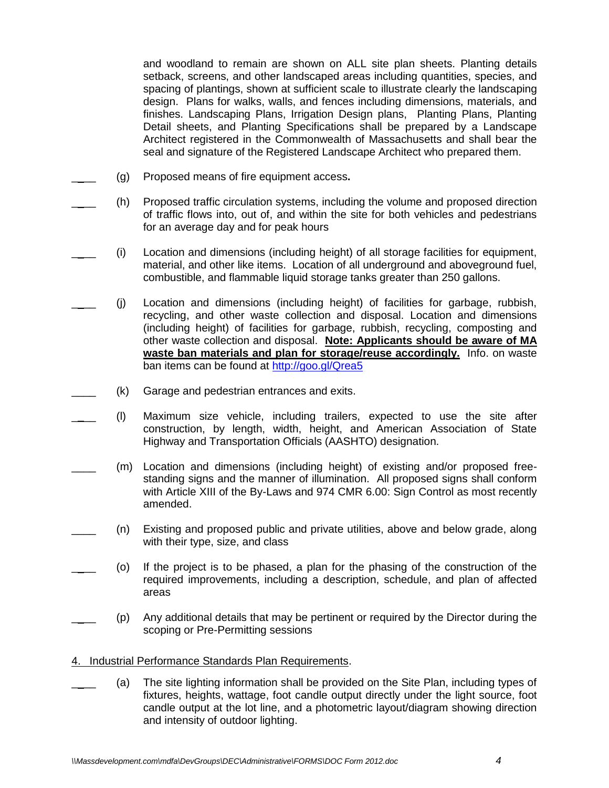and woodland to remain are shown on ALL site plan sheets. Planting details setback, screens, and other landscaped areas including quantities, species, and spacing of plantings, shown at sufficient scale to illustrate clearly the landscaping design. Plans for walks, walls, and fences including dimensions, materials, and finishes. Landscaping Plans, Irrigation Design plans, Planting Plans, Planting Detail sheets, and Planting Specifications shall be prepared by a Landscape Architect registered in the Commonwealth of Massachusetts and shall bear the seal and signature of the Registered Landscape Architect who prepared them.

- \_\_\_\_ (g) Proposed means of fire equipment access**.**
- \_\_\_\_ (h) Proposed traffic circulation systems, including the volume and proposed direction of traffic flows into, out of, and within the site for both vehicles and pedestrians for an average day and for peak hours
- \_\_\_\_ (i) Location and dimensions (including height) of all storage facilities for equipment, material, and other like items. Location of all underground and aboveground fuel, combustible, and flammable liquid storage tanks greater than 250 gallons.
- \_\_\_\_ (j) Location and dimensions (including height) of facilities for garbage, rubbish, recycling, and other waste collection and disposal. Location and dimensions (including height) of facilities for garbage, rubbish, recycling, composting and other waste collection and disposal. **Note: Applicants should be aware of MA waste ban materials and plan for storage/reuse accordingly.** Info. on waste ban items can be found at<http://goo.gl/Qrea5>
- (k) Garage and pedestrian entrances and exits.
- \_\_\_\_ (l) Maximum size vehicle, including trailers, expected to use the site after construction, by length, width, height, and American Association of State Highway and Transportation Officials (AASHTO) designation.
- \_\_\_\_ (m) Location and dimensions (including height) of existing and/or proposed freestanding signs and the manner of illumination. All proposed signs shall conform with Article XIII of the By-Laws and 974 CMR 6.00: Sign Control as most recently amended.
	- \_\_\_\_ (n) Existing and proposed public and private utilities, above and below grade, along with their type, size, and class
- \_\_\_\_ (o) If the project is to be phased, a plan for the phasing of the construction of the required improvements, including a description, schedule, and plan of affected areas
- \_\_\_\_ (p) Any additional details that may be pertinent or required by the Director during the scoping or Pre-Permitting sessions

## 4. Industrial Performance Standards Plan Requirements.

(a) The site lighting information shall be provided on the Site Plan, including types of fixtures, heights, wattage, foot candle output directly under the light source, foot candle output at the lot line, and a photometric layout/diagram showing direction and intensity of outdoor lighting.